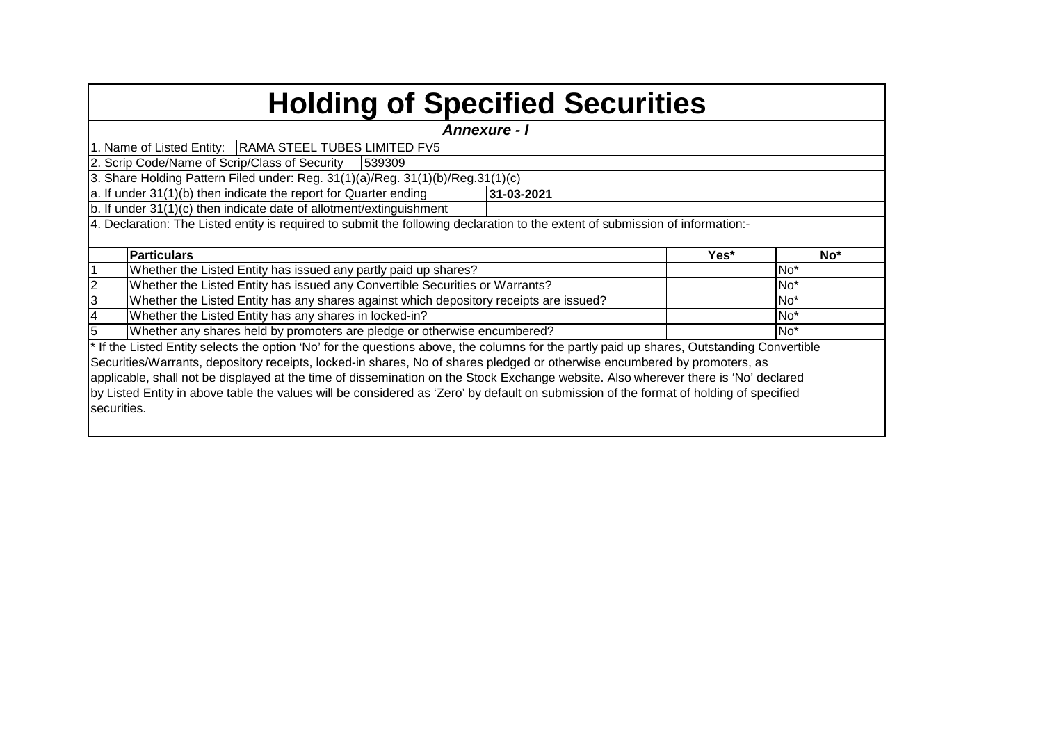|  |  |  | <b>Holding of Specified Securities</b> |
|--|--|--|----------------------------------------|
|--|--|--|----------------------------------------|

| <b>Annexure - I</b> |                                                                                                                                            |            |      |                 |  |  |  |  |  |  |  |  |  |
|---------------------|--------------------------------------------------------------------------------------------------------------------------------------------|------------|------|-----------------|--|--|--|--|--|--|--|--|--|
|                     | 1. Name of Listed Entity:   RAMA STEEL TUBES LIMITED FV5                                                                                   |            |      |                 |  |  |  |  |  |  |  |  |  |
|                     | 2. Scrip Code/Name of Scrip/Class of Security<br>539309                                                                                    |            |      |                 |  |  |  |  |  |  |  |  |  |
|                     | 3. Share Holding Pattern Filed under: Reg. 31(1)(a)/Reg. 31(1)(b)/Reg. 31(1)(c)                                                            |            |      |                 |  |  |  |  |  |  |  |  |  |
|                     | a. If under 31(1)(b) then indicate the report for Quarter ending                                                                           | 31-03-2021 |      |                 |  |  |  |  |  |  |  |  |  |
|                     | b. If under 31(1)(c) then indicate date of allotment/extinguishment                                                                        |            |      |                 |  |  |  |  |  |  |  |  |  |
|                     | 4. Declaration: The Listed entity is required to submit the following declaration to the extent of submission of information:-             |            |      |                 |  |  |  |  |  |  |  |  |  |
|                     |                                                                                                                                            |            |      |                 |  |  |  |  |  |  |  |  |  |
|                     | <b>Particulars</b>                                                                                                                         |            | Yes* | No*             |  |  |  |  |  |  |  |  |  |
|                     | Whether the Listed Entity has issued any partly paid up shares?                                                                            |            |      | No <sup>*</sup> |  |  |  |  |  |  |  |  |  |
|                     | Whether the Listed Entity has issued any Convertible Securities or Warrants?                                                               |            |      | No <sup>*</sup> |  |  |  |  |  |  |  |  |  |
| 3                   | Whether the Listed Entity has any shares against which depository receipts are issued?                                                     |            |      | No <sup>*</sup> |  |  |  |  |  |  |  |  |  |
|                     | Whether the Listed Entity has any shares in locked-in?                                                                                     |            |      | No <sup>*</sup> |  |  |  |  |  |  |  |  |  |
|                     | Whether any shares held by promoters are pledge or otherwise encumbered?                                                                   |            |      | No <sup>*</sup> |  |  |  |  |  |  |  |  |  |
|                     | * If the Listed Entity selects the option 'No' for the questions above, the columns for the partly paid up shares, Outstanding Convertible |            |      |                 |  |  |  |  |  |  |  |  |  |
|                     | Securities/Warrants, depository receipts, locked-in shares, No of shares pledged or otherwise encumbered by promoters, as                  |            |      |                 |  |  |  |  |  |  |  |  |  |
|                     | applicable, shall not be displayed at the time of dissemination on the Stock Exchange website. Also wherever there is 'No' declared        |            |      |                 |  |  |  |  |  |  |  |  |  |
|                     | by Listed Entity in above table the values will be considered as 'Zero' by default on submission of the format of holding of specified     |            |      |                 |  |  |  |  |  |  |  |  |  |
| securities.         |                                                                                                                                            |            |      |                 |  |  |  |  |  |  |  |  |  |
|                     |                                                                                                                                            |            |      |                 |  |  |  |  |  |  |  |  |  |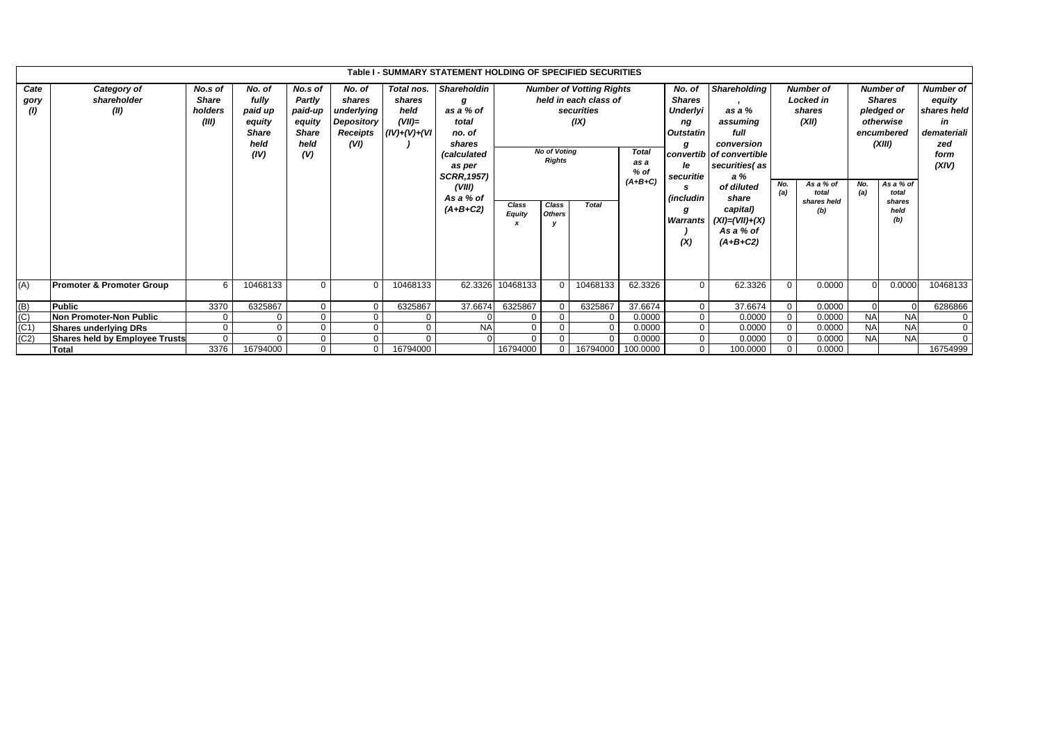|                     | Table I - SUMMARY STATEMENT HOLDING OF SPECIFIED SECURITIES<br>Shareholdin<br><b>Number of Votting Rights</b><br><b>Shareholding</b><br>No.s of<br>No. of<br>Total nos.<br>No.s of<br>No. of<br>No. of<br><b>Number of</b><br><b>Number of</b> |                                  |                                                            |                                                            |                                                        |                                               |                                                                                                                                 |                        |                                                                |                                                             |                                           |                                                                                                                             |                                                                                                                                                                                    |              |                                                                                 |            |                                                                                                                   |                                                                                        |
|---------------------|------------------------------------------------------------------------------------------------------------------------------------------------------------------------------------------------------------------------------------------------|----------------------------------|------------------------------------------------------------|------------------------------------------------------------|--------------------------------------------------------|-----------------------------------------------|---------------------------------------------------------------------------------------------------------------------------------|------------------------|----------------------------------------------------------------|-------------------------------------------------------------|-------------------------------------------|-----------------------------------------------------------------------------------------------------------------------------|------------------------------------------------------------------------------------------------------------------------------------------------------------------------------------|--------------|---------------------------------------------------------------------------------|------------|-------------------------------------------------------------------------------------------------------------------|----------------------------------------------------------------------------------------|
| Cate<br>gory<br>(1) | Category of<br>shareholder<br>(II)                                                                                                                                                                                                             | <b>Share</b><br>holders<br>(III) | fully<br>paid up<br>equity<br><b>Share</b><br>held<br>(IV) | Partly<br>paid-up<br>equity<br><b>Share</b><br>held<br>(V) | shares<br>underlying<br>Depository<br>Receipts<br>(VI) | shares<br>held<br>$(VII)=$<br>$(IV)+(V)+(VI)$ | g<br>as a % of<br>total<br>no. of<br>shares<br>(calculated<br>as per<br><b>SCRR, 1957)</b><br>(VIII)<br>As a % of<br>$(A+B+C2)$ | Class<br><b>Equity</b> | <b>No of Votina</b><br><b>Rights</b><br>Class<br><b>Others</b> | held in each class of<br>securities<br>(IX)<br><b>Total</b> | <b>Total</b><br>as a<br>% of<br>$(A+B+C)$ | <b>Shares</b><br><b>Underlyi</b><br>ng<br><b>Outstatin</b><br>g<br>le<br>securitie<br><i>(includin</i> )<br>Warrants<br>(X) | as a %<br>assuming<br>full<br>conversion<br>convertib of convertible<br>securities (as<br>a%<br>of diluted<br>share<br>capital)<br>$(XI) = (VII) + (X)$<br>As a % of<br>$(A+B+C2)$ | No.<br>(a)   | <b>Locked</b> in<br>shares<br>(XII)<br>As a % of<br>total<br>shares held<br>(b) | No.<br>(a) | <b>Shares</b><br>pledged or<br>otherwise<br>encumbered<br>(XIII)<br>As a $%$ of<br>total<br>shares<br>held<br>(b) | <b>Number of</b><br>equity<br>shares held<br>in<br>demateriali<br>zed<br>form<br>(XIV) |
| (A)                 | <b>Promoter &amp; Promoter Group</b>                                                                                                                                                                                                           | 6                                | 10468133                                                   | $\Omega$                                                   | $\Omega$                                               | 10468133                                      | 62.3326                                                                                                                         | 10468133               | $\Omega$                                                       | 10468133                                                    | 62.3326                                   | $\mathbf 0$                                                                                                                 | 62.3326                                                                                                                                                                            | $\Omega$     | 0.0000                                                                          |            | 0.0000                                                                                                            | 10468133                                                                               |
| $\frac{(B)}{(C)}$   | <b>Public</b>                                                                                                                                                                                                                                  | 3370                             | 6325867                                                    | 0                                                          | $\Omega$                                               | 6325867                                       | 37.6674                                                                                                                         | 6325867                |                                                                | 6325867                                                     | 37.6674                                   | $\mathbf 0$                                                                                                                 | 37.6674                                                                                                                                                                            | $\mathbf{0}$ | 0.0000                                                                          |            | $\Omega$                                                                                                          | 6286866                                                                                |
|                     | Non Promoter-Non Public                                                                                                                                                                                                                        | $\mathbf{0}$                     |                                                            | $\Omega$                                                   |                                                        |                                               |                                                                                                                                 |                        |                                                                | 0                                                           | 0.0000                                    | 0                                                                                                                           | 0.0000                                                                                                                                                                             |              | 0.0000                                                                          | <b>NA</b>  | <b>NA</b>                                                                                                         | 0                                                                                      |
| (C1)                | <b>Shares underlying DRs</b>                                                                                                                                                                                                                   | $\overline{0}$                   | $\mathbf 0$                                                | $\mathbf 0$                                                | $\Omega$                                               | $\Omega$                                      | <b>NA</b>                                                                                                                       | $\mathbf 0$            |                                                                | $\mathbf 0$                                                 | 0.0000                                    | $\mathbf 0$                                                                                                                 | 0.0000                                                                                                                                                                             |              | 0.0000                                                                          | <b>NA</b>  | <b>NAI</b>                                                                                                        | $\mathbf 0$                                                                            |
| (C2)                | Shares held by Employee Trusts                                                                                                                                                                                                                 | $\mathbf 0$                      | $\Omega$                                                   | $\Omega$                                                   | $\Omega$                                               | $\Omega$                                      |                                                                                                                                 | $\Omega$               |                                                                | $\mathbf 0$                                                 | 0.0000                                    | $\mathbf 0$                                                                                                                 | 0.0000                                                                                                                                                                             |              | 0.0000                                                                          | <b>NA</b>  | <b>NA</b>                                                                                                         | $\overline{0}$                                                                         |
|                     | <b>Total</b>                                                                                                                                                                                                                                   | 3376                             | 16794000                                                   | 0                                                          | $\overline{0}$                                         | 16794000                                      |                                                                                                                                 | 16794000               | 16794000<br>100.0000                                           |                                                             | $\mathbf 0$                               | 100.0000                                                                                                                    |                                                                                                                                                                                    | 0.0000       |                                                                                 |            | 16754999                                                                                                          |                                                                                        |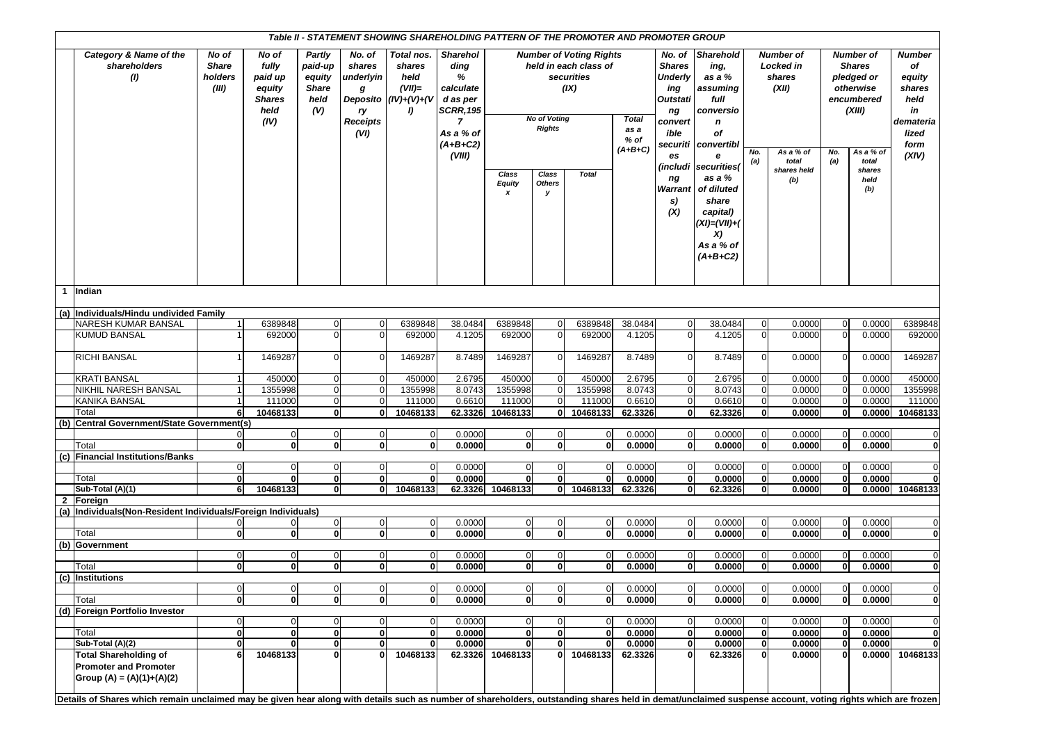| Table II - STATEMENT SHOWING SHAREHOLDING PATTERN OF THE PROMOTER AND PROMOTER GROUP |                                                                                                                                                                                                           |                                           |                                                                      |                                                            |                                                                                 |                                                                   |                                                                                                                                  |                             |                                                                     |                                                                                               |                                           |                                                                                                                                                       |                                                                                                                                                                                                                      |                                |                                                                                              |                          |                                                                                                                                       |                                                                                       |
|--------------------------------------------------------------------------------------|-----------------------------------------------------------------------------------------------------------------------------------------------------------------------------------------------------------|-------------------------------------------|----------------------------------------------------------------------|------------------------------------------------------------|---------------------------------------------------------------------------------|-------------------------------------------------------------------|----------------------------------------------------------------------------------------------------------------------------------|-----------------------------|---------------------------------------------------------------------|-----------------------------------------------------------------------------------------------|-------------------------------------------|-------------------------------------------------------------------------------------------------------------------------------------------------------|----------------------------------------------------------------------------------------------------------------------------------------------------------------------------------------------------------------------|--------------------------------|----------------------------------------------------------------------------------------------|--------------------------|---------------------------------------------------------------------------------------------------------------------------------------|---------------------------------------------------------------------------------------|
|                                                                                      | Category & Name of the<br>shareholders<br>(1)                                                                                                                                                             | No of<br><b>Share</b><br>holders<br>(III) | No of<br>fully<br>paid up<br>equity<br><b>Shares</b><br>held<br>(IV) | Partly<br>paid-up<br>equity<br><b>Share</b><br>held<br>(V) | No. of<br>shares<br>underlyin<br>g<br>Deposito<br>ry<br><b>Receipts</b><br>(VI) | Total nos.<br>shares<br>held<br>$(VII)$ =<br>$(IV)+(V)+(V)$<br>I) | <b>Sharehol</b><br>ding<br>%<br>calculate<br>d as per<br><b>SCRR, 195</b><br>$\overline{ }$<br>As a % of<br>$(A+B+C2)$<br>(VIII) | Class<br><b>Equity</b><br>x | <b>No of Voting</b><br><b>Rights</b><br>Class<br><b>Others</b><br>y | <b>Number of Voting Rights</b><br>held in each class of<br>securities<br>(IX)<br><b>Total</b> | <b>Total</b><br>as a<br>% of<br>$(A+B+C)$ | <b>Shares</b><br><b>Underly</b><br>ing<br><b>Outstati</b><br>ng<br>convert<br>ible<br>securiti<br>es<br>(includi<br>ng<br><b>Warrant</b><br>s)<br>(X) | No. of Sharehold<br>ing,<br>as a %<br>assuming<br>full<br>conversio<br>n<br>of<br>convertibl<br>e<br>securities(<br>as a %<br>of diluted<br>share<br>capital)<br>$(XI) = (VII) + ($<br>X)<br>As a % of<br>$(A+B+C2)$ | No.<br>(a)                     | <b>Number of</b><br>Locked in<br>shares<br>(XII)<br>As a % of<br>total<br>shares held<br>(b) | No.<br>(a)               | <b>Number of</b><br><b>Shares</b><br>pledged or<br>otherwise<br>encumbered<br>(XIII)<br>As a $%$ of<br>total<br>shares<br>held<br>(b) | Number<br>of<br>equity<br>shares<br>held<br>in<br>demateria<br>lized<br>form<br>(XIV) |
| $\overline{1}$                                                                       | Indian                                                                                                                                                                                                    |                                           |                                                                      |                                                            |                                                                                 |                                                                   |                                                                                                                                  |                             |                                                                     |                                                                                               |                                           |                                                                                                                                                       |                                                                                                                                                                                                                      |                                |                                                                                              |                          |                                                                                                                                       |                                                                                       |
|                                                                                      | (a) Individuals/Hindu undivided Family                                                                                                                                                                    |                                           |                                                                      |                                                            |                                                                                 |                                                                   |                                                                                                                                  |                             |                                                                     |                                                                                               |                                           |                                                                                                                                                       |                                                                                                                                                                                                                      |                                |                                                                                              |                          |                                                                                                                                       |                                                                                       |
|                                                                                      | NARESH KUMAR BANSAL                                                                                                                                                                                       | $\overline{\mathbf{1}}$                   | 6389848                                                              |                                                            | $\Omega$                                                                        | 6389848                                                           | 38.0484                                                                                                                          | 6389848                     | $\Omega$                                                            | 6389848                                                                                       | 38.0484                                   | $\mathbf 0$                                                                                                                                           | 38.0484                                                                                                                                                                                                              | $\overline{0}$                 | 0.0000                                                                                       | $\Omega$                 | 0.0000                                                                                                                                | 6389848                                                                               |
|                                                                                      | <b>KUMUD BANSAL</b>                                                                                                                                                                                       |                                           | 692000                                                               |                                                            | $\Omega$                                                                        | 692000                                                            | 4.1205                                                                                                                           | 692000                      | $\Omega$                                                            | 692000                                                                                        | 4.1205                                    | $\Omega$                                                                                                                                              | 4.1205                                                                                                                                                                                                               | $\overline{0}$                 | 0.0000                                                                                       | $\Omega$                 | 0.0000                                                                                                                                | 692000                                                                                |
|                                                                                      | <b>RICHI BANSAL</b>                                                                                                                                                                                       |                                           | 1469287                                                              |                                                            |                                                                                 | 1469287                                                           | 8.7489                                                                                                                           | 1469287                     |                                                                     | 1469287                                                                                       | 8.7489                                    | $\Omega$                                                                                                                                              | 8.7489                                                                                                                                                                                                               | $\overline{0}$                 | 0.0000                                                                                       |                          | 0.0000                                                                                                                                | 1469287                                                                               |
|                                                                                      | <b>KRATI BANSAL</b>                                                                                                                                                                                       |                                           | 450000                                                               | $\Omega$                                                   | 0                                                                               | 450000                                                            | 2.6795                                                                                                                           | 450000                      | $\mathbf 0$                                                         | 450000                                                                                        | 2.6795                                    | $\mathbf 0$                                                                                                                                           | 2.6795                                                                                                                                                                                                               | $\overline{0}$                 | 0.0000                                                                                       | -0                       | 0.0000                                                                                                                                | 450000                                                                                |
|                                                                                      | <b>NIKHIL NARESH BANSAL</b>                                                                                                                                                                               |                                           | 1355998                                                              | $\Omega$                                                   | $\Omega$                                                                        | 1355998                                                           | 8.0743                                                                                                                           | 1355998                     | $\mathbf 0$                                                         | 1355998                                                                                       | 8.0743                                    | $\mathbf 0$                                                                                                                                           | 8.0743                                                                                                                                                                                                               | $\overline{0}$                 | 0.0000                                                                                       | $\mathbf{0}$             | 0.0000                                                                                                                                | 1355998                                                                               |
|                                                                                      | <b>KANIKA BANSAL</b>                                                                                                                                                                                      |                                           | 111000                                                               | $\Omega$                                                   | $\Omega$                                                                        | 111000                                                            | 0.6610                                                                                                                           | 111000                      | $\Omega$                                                            | 111000                                                                                        | 0.6610                                    | $\Omega$                                                                                                                                              | 0.6610                                                                                                                                                                                                               | $\overline{0}$                 | 0.0000                                                                                       | $\Omega$                 | 0.0000                                                                                                                                | 111000                                                                                |
|                                                                                      | Total                                                                                                                                                                                                     | 6                                         | 10468133                                                             | $\mathbf{0}$                                               | $\mathbf{0}$                                                                    | 10468133                                                          | 62.3326                                                                                                                          | 10468133                    | 0                                                                   | 10468133                                                                                      | 62.3326                                   | $\mathbf{0}$                                                                                                                                          | 62.3326                                                                                                                                                                                                              | $\mathbf{0}$                   | 0.0000                                                                                       | $\mathbf{0}$             | 0.0000                                                                                                                                | 10468133                                                                              |
| (b)                                                                                  | Central Government/State Government(s)                                                                                                                                                                    |                                           |                                                                      |                                                            |                                                                                 |                                                                   |                                                                                                                                  |                             |                                                                     |                                                                                               |                                           |                                                                                                                                                       |                                                                                                                                                                                                                      |                                |                                                                                              |                          |                                                                                                                                       |                                                                                       |
|                                                                                      |                                                                                                                                                                                                           | $\overline{0}$                            | $\overline{0}$                                                       | $\overline{0}$                                             | $\mathbf 0$                                                                     | $\overline{0}$                                                    | 0.0000                                                                                                                           | $\overline{0}$              | $\mathbf{0}$                                                        | $\overline{0}$                                                                                | 0.0000                                    | $\overline{0}$                                                                                                                                        | 0.0000                                                                                                                                                                                                               | $\overline{0}$                 | 0.0000                                                                                       | $\mathbf{0}$             | 0.0000                                                                                                                                | $\overline{0}$                                                                        |
|                                                                                      | Total                                                                                                                                                                                                     | $\mathbf{0}$                              | $\mathbf{0}$                                                         | $\mathbf{0}$                                               | $\mathbf{0}$                                                                    | 0                                                                 | 0.0000                                                                                                                           | $\mathbf{0}$                | $\mathbf{0}$                                                        | $\mathbf{0}$                                                                                  | 0.0000                                    | $\mathbf{0}$                                                                                                                                          | 0.0000                                                                                                                                                                                                               | $\mathbf{0}$                   | 0.0000                                                                                       | $\mathbf{0}$             | 0.0000                                                                                                                                | $\mathbf{0}$                                                                          |
| (c)                                                                                  | <b>Financial Institutions/Banks</b>                                                                                                                                                                       |                                           |                                                                      |                                                            |                                                                                 |                                                                   |                                                                                                                                  |                             |                                                                     |                                                                                               |                                           |                                                                                                                                                       |                                                                                                                                                                                                                      |                                |                                                                                              |                          |                                                                                                                                       |                                                                                       |
|                                                                                      |                                                                                                                                                                                                           | $\overline{0}$                            | $\overline{0}$                                                       | $\overline{0}$                                             | $\mathbf{0}$                                                                    | $\mathbf 0$                                                       | 0.0000                                                                                                                           | $\mathbf 0$                 | $\mathbf{0}$                                                        | $\overline{0}$                                                                                | 0.0000                                    | $\mathbf 0$                                                                                                                                           | 0.0000                                                                                                                                                                                                               | $\overline{0}$                 | 0.0000                                                                                       | $\overline{0}$           | 0.0000                                                                                                                                | $\mathbf 0$                                                                           |
|                                                                                      | Total                                                                                                                                                                                                     | $\mathbf{0}$                              | 0                                                                    | $\mathbf{0}$                                               | $\mathbf{0}$                                                                    | $\mathbf{0}$                                                      | 0.0000                                                                                                                           | $\mathbf{0}$                | $\mathbf{0}$                                                        | $\mathbf{0}$                                                                                  | 0.0000                                    | $\mathbf 0$                                                                                                                                           | 0.0000                                                                                                                                                                                                               | $\mathbf{0}$                   | 0.0000                                                                                       | $\mathbf 0$              | 0.0000                                                                                                                                | $\mathbf{0}$                                                                          |
|                                                                                      | Sub-Total (A)(1)                                                                                                                                                                                          | 6                                         | 10468133                                                             | 0                                                          | 0                                                                               | 10468133                                                          | 62.3326                                                                                                                          | 10468133                    |                                                                     | 0 10468133                                                                                    | 62.3326                                   | $\mathbf{0}$                                                                                                                                          | 62.3326                                                                                                                                                                                                              | $\mathbf{0}$                   | 0.0000                                                                                       | $\mathbf 0$              | 0.0000                                                                                                                                | 10468133                                                                              |
| 2                                                                                    | Foreign                                                                                                                                                                                                   |                                           |                                                                      |                                                            |                                                                                 |                                                                   |                                                                                                                                  |                             |                                                                     |                                                                                               |                                           |                                                                                                                                                       |                                                                                                                                                                                                                      |                                |                                                                                              |                          |                                                                                                                                       |                                                                                       |
|                                                                                      | (a) Individuals (Non-Resident Individuals/Foreign Individuals)                                                                                                                                            |                                           |                                                                      |                                                            |                                                                                 |                                                                   |                                                                                                                                  |                             |                                                                     |                                                                                               |                                           |                                                                                                                                                       |                                                                                                                                                                                                                      |                                |                                                                                              |                          |                                                                                                                                       |                                                                                       |
|                                                                                      |                                                                                                                                                                                                           | $\Omega$<br>οl                            | $\overline{0}$<br>0                                                  | $\mathbf{0}$<br>$\mathbf{0}$                               | $\mathbf 0$<br>0                                                                | $\overline{0}$<br>0                                               | 0.0000<br>0.0000                                                                                                                 | $\mathbf 0$<br>$\mathbf{0}$ | 0<br>$\Omega$                                                       | ∩                                                                                             | 0.0000                                    | $\mathbf 0$<br>$\mathbf{0}$                                                                                                                           | 0.0000<br>0.0000                                                                                                                                                                                                     | $\overline{0}$<br>$\mathbf{0}$ | 0.0000                                                                                       | $\Omega$<br>$\mathbf{0}$ | 0.0000<br>0.0000                                                                                                                      | $\overline{0}$<br>$\mathbf{0}$                                                        |
|                                                                                      | Total<br>(b) Government                                                                                                                                                                                   |                                           |                                                                      |                                                            |                                                                                 |                                                                   |                                                                                                                                  |                             |                                                                     |                                                                                               | 0.0000                                    |                                                                                                                                                       |                                                                                                                                                                                                                      |                                | 0.0000                                                                                       |                          |                                                                                                                                       |                                                                                       |
|                                                                                      |                                                                                                                                                                                                           | $\Omega$                                  | $\overline{0}$                                                       |                                                            | 0                                                                               | $\overline{0}$                                                    | 0.0000                                                                                                                           | $\mathbf 0$                 |                                                                     |                                                                                               | 0.0000                                    | $\Omega$                                                                                                                                              | 0.0000                                                                                                                                                                                                               | $\overline{0}$                 | 0.0000                                                                                       |                          | 0.0000                                                                                                                                | $\mathbf 0$                                                                           |
|                                                                                      | Total                                                                                                                                                                                                     | $\mathbf{0}$                              | 0                                                                    | $\mathbf{0}$                                               | $\mathbf{0}$                                                                    | 0                                                                 | 0.0000                                                                                                                           | $\mathbf{0}$                | $\Omega$                                                            | 0                                                                                             | 0.0000                                    | $\mathbf{0}$                                                                                                                                          | 0.0000                                                                                                                                                                                                               | $\mathbf{0}$                   | 0.0000                                                                                       | O                        | 0.0000                                                                                                                                | $\mathbf{0}$                                                                          |
|                                                                                      | (c) Institutions                                                                                                                                                                                          |                                           |                                                                      |                                                            |                                                                                 |                                                                   |                                                                                                                                  |                             |                                                                     |                                                                                               |                                           |                                                                                                                                                       |                                                                                                                                                                                                                      |                                |                                                                                              |                          |                                                                                                                                       |                                                                                       |
|                                                                                      |                                                                                                                                                                                                           |                                           | V.                                                                   | <b>U</b>                                                   |                                                                                 | $\mathbf 0$                                                       | 0.0000                                                                                                                           | $\mathbf 0$                 |                                                                     |                                                                                               | 0.0000                                    |                                                                                                                                                       | 0.0000                                                                                                                                                                                                               | $\overline{0}$                 | 0.0000                                                                                       | $\mathbf 0$              | 0.0000                                                                                                                                | <b>U</b>                                                                              |
|                                                                                      | Total                                                                                                                                                                                                     | $\mathbf{0}$                              | 0l                                                                   | $\mathbf{0}$                                               | $\mathbf{0}$                                                                    | 0                                                                 | 0.0000                                                                                                                           | $\mathbf{0}$                |                                                                     |                                                                                               | 0.0000                                    | $\mathbf{0}$                                                                                                                                          | 0.0000                                                                                                                                                                                                               | $\mathbf{0}$                   | 0.0000                                                                                       | $\mathbf{0}$             | 0.0000                                                                                                                                | $\mathbf{0}$                                                                          |
|                                                                                      | (d) Foreign Portfolio Investor                                                                                                                                                                            |                                           |                                                                      |                                                            |                                                                                 |                                                                   |                                                                                                                                  |                             |                                                                     |                                                                                               |                                           |                                                                                                                                                       |                                                                                                                                                                                                                      |                                |                                                                                              |                          |                                                                                                                                       |                                                                                       |
|                                                                                      |                                                                                                                                                                                                           | $\Omega$                                  | $\overline{0}$                                                       |                                                            |                                                                                 | 0                                                                 | 0.0000                                                                                                                           | $\mathbf 0$                 |                                                                     |                                                                                               | 0.0000                                    | $\mathbf 0$                                                                                                                                           | 0.0000                                                                                                                                                                                                               | $\overline{0}$                 | 0.0000                                                                                       |                          | 0.0000                                                                                                                                | $\mathbf 0$                                                                           |
|                                                                                      | Total                                                                                                                                                                                                     | $\mathbf{0}$                              | 0                                                                    | $\mathbf{0}$                                               | $\mathbf{0}$                                                                    | $\mathbf{0}$                                                      | 0.0000                                                                                                                           | $\mathbf{0}$                | $\mathbf{0}$                                                        | $\Omega$                                                                                      | 0.0000                                    | $\mathbf 0$                                                                                                                                           | 0.0000                                                                                                                                                                                                               | $\overline{\mathbf{0}}$        | 0.0000                                                                                       | $\mathbf{0}$             | 0.0000                                                                                                                                | $\mathbf{0}$                                                                          |
|                                                                                      | Sub-Total (A)(2)                                                                                                                                                                                          | $\mathbf{0}$                              | 0                                                                    | 0                                                          | 0                                                                               | $\mathbf{0}$                                                      | 0.0000                                                                                                                           | $\mathbf{0}$                | $\mathbf{0}$                                                        |                                                                                               | 0.0000                                    | $\mathbf 0$                                                                                                                                           | 0.0000                                                                                                                                                                                                               | $\mathbf{0}$                   | 0.0000                                                                                       | $\mathbf 0$              | 0.0000                                                                                                                                | $\mathbf{0}$                                                                          |
|                                                                                      | <b>Total Shareholding of</b><br><b>Promoter and Promoter</b><br>Group (A) = (A)(1)+(A)(2)                                                                                                                 | 6                                         | 10468133                                                             |                                                            |                                                                                 | 10468133                                                          |                                                                                                                                  | 62.3326 10468133            |                                                                     | 10468133                                                                                      | 62.3326                                   | $\Omega$                                                                                                                                              | 62.3326                                                                                                                                                                                                              | $\mathbf{0}$                   | 0.0000                                                                                       |                          |                                                                                                                                       | 0.0000 10468133                                                                       |
|                                                                                      | Details of Shares which remain unclaimed may be given hear along with details such as number of shareholders, outstanding shares held in demat/unclaimed suspense account, voting rights which are frozen |                                           |                                                                      |                                                            |                                                                                 |                                                                   |                                                                                                                                  |                             |                                                                     |                                                                                               |                                           |                                                                                                                                                       |                                                                                                                                                                                                                      |                                |                                                                                              |                          |                                                                                                                                       |                                                                                       |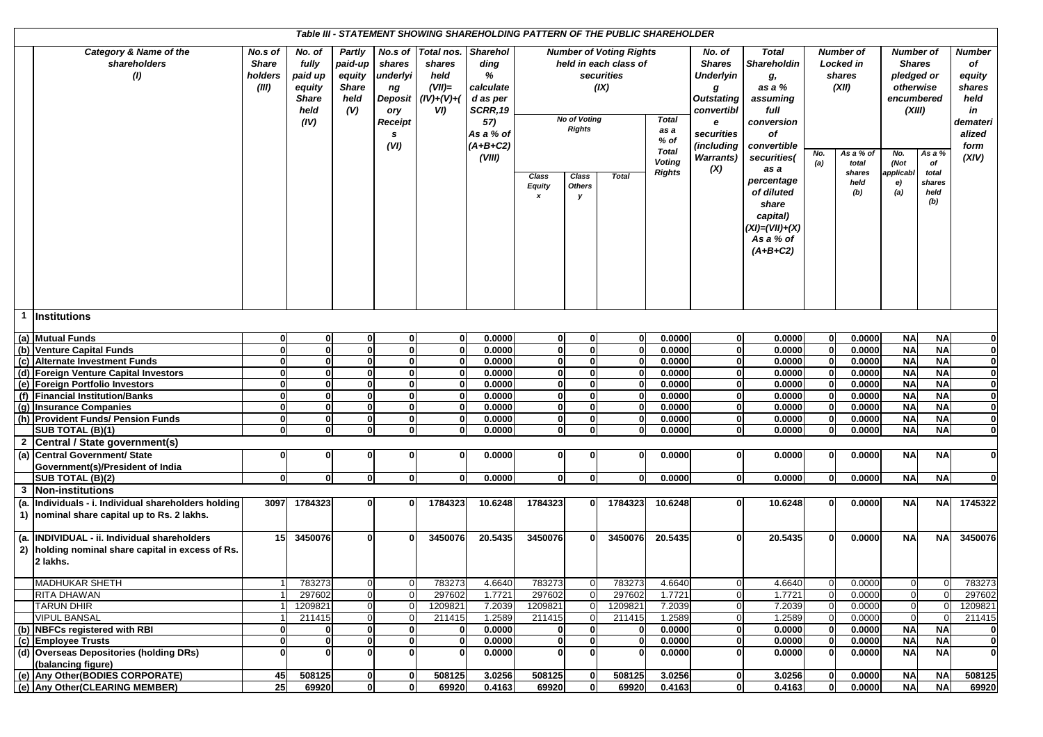| Table III - STATEMENT SHOWING SHAREHOLDING PATTERN OF THE PUBLIC SHAREHOLDER<br><b>Number of Voting Rights</b> |                                                   |                |              |                |                |                |                 |                                                 |                                     |                       |               |                   |                    |              |                  |                  |                |               |  |
|----------------------------------------------------------------------------------------------------------------|---------------------------------------------------|----------------|--------------|----------------|----------------|----------------|-----------------|-------------------------------------------------|-------------------------------------|-----------------------|---------------|-------------------|--------------------|--------------|------------------|------------------|----------------|---------------|--|
|                                                                                                                | Category & Name of the                            | No.s of        | No. of       | Partly         | No.s of        | Total nos.     | <b>Sharehol</b> |                                                 |                                     |                       |               | No. of            | <b>Total</b>       |              | <b>Number of</b> | <b>Number of</b> |                | <b>Number</b> |  |
|                                                                                                                | shareholders                                      | <b>Share</b>   | fully        | paid-up        | shares         | shares         | ding            |                                                 |                                     | held in each class of |               | <b>Shares</b>     | <b>Shareholdin</b> |              | <b>Locked in</b> | <b>Shares</b>    |                | of            |  |
|                                                                                                                | (1)                                               | holders        | paid up      | equity         | underlyi       | held           | %               |                                                 |                                     | securities            |               | Underlyin         | g,                 |              | shares           | pledged or       |                | equity        |  |
|                                                                                                                |                                                   | (III)          | equity       | <b>Share</b>   | ng             | $(VII)=$       | calculate       |                                                 |                                     | (IX)                  |               | g                 | as a %             |              | (XII)            | otherwise        |                | shares        |  |
|                                                                                                                |                                                   |                | <b>Share</b> | held           | <b>Deposit</b> | $(IV)+(V)+(V)$ | d as per        |                                                 |                                     |                       |               | <b>Outstating</b> | assuming           |              |                  | encumbered       |                | held          |  |
|                                                                                                                |                                                   |                | held         | (V)            | ory            | VD.            | <b>SCRR, 19</b> |                                                 |                                     |                       | convertibl    | full              |                    |              | (XIII)           |                  | in             |               |  |
|                                                                                                                |                                                   |                | (IV)         |                | Receipt        |                | 57)             |                                                 | <b>No of Voting</b><br><b>Total</b> |                       |               | e                 | conversion         |              |                  |                  | demateri       |               |  |
|                                                                                                                |                                                   |                |              |                | s              |                | As a % of       | <b>Rights</b><br>as a                           |                                     |                       |               | securities        | Οf                 |              |                  |                  |                | alized        |  |
|                                                                                                                |                                                   |                |              |                | (VI)           |                | $(A+B+C2)$      | $%$ of                                          |                                     |                       |               | (including        | convertible        |              |                  |                  |                | form          |  |
|                                                                                                                |                                                   |                |              |                |                |                | (VIII)          | <b>Total</b>                                    |                                     |                       |               | <b>Warrants)</b>  | securities(        | No.          | As a % of        | No.              | As a %         | (XIV)         |  |
|                                                                                                                |                                                   |                |              |                |                |                |                 |                                                 |                                     |                       | <b>Voting</b> | (X)               | as a               | (a)          | total            | (Not             | of             |               |  |
|                                                                                                                |                                                   |                |              |                |                |                |                 | <b>Rights</b><br>Class<br>Class<br><b>Total</b> |                                     |                       |               | percentage        |                    | shares       | applicabl        | total            |                |               |  |
|                                                                                                                |                                                   |                |              |                |                |                |                 | <b>Equity</b>                                   | <b>Others</b>                       |                       |               |                   |                    |              | held<br>(b)      | e)<br>(a)        | shares<br>held |               |  |
|                                                                                                                |                                                   |                |              |                |                |                |                 | x                                               | у                                   |                       |               |                   | of diluted         |              |                  |                  | (b)            |               |  |
|                                                                                                                |                                                   |                |              |                |                |                |                 |                                                 |                                     |                       |               |                   | share              |              |                  |                  |                |               |  |
|                                                                                                                |                                                   |                |              |                |                |                |                 |                                                 |                                     |                       |               |                   | capital)           |              |                  |                  |                |               |  |
|                                                                                                                |                                                   |                |              |                |                |                |                 |                                                 |                                     |                       |               |                   | $(XI) = (VII)+(X)$ |              |                  |                  |                |               |  |
|                                                                                                                |                                                   |                |              |                |                |                |                 |                                                 |                                     |                       |               |                   | As a % of          |              |                  |                  |                |               |  |
|                                                                                                                |                                                   |                |              |                |                |                |                 |                                                 |                                     |                       |               |                   | $(A+B+C2)$         |              |                  |                  |                |               |  |
|                                                                                                                |                                                   |                |              |                |                |                |                 |                                                 |                                     |                       |               |                   |                    |              |                  |                  |                |               |  |
|                                                                                                                |                                                   |                |              |                |                |                |                 |                                                 |                                     |                       |               |                   |                    |              |                  |                  |                |               |  |
|                                                                                                                |                                                   |                |              |                |                |                |                 |                                                 |                                     |                       |               |                   |                    |              |                  |                  |                |               |  |
|                                                                                                                |                                                   |                |              |                |                |                |                 |                                                 |                                     |                       |               |                   |                    |              |                  |                  |                |               |  |
|                                                                                                                |                                                   |                |              |                |                |                |                 |                                                 |                                     |                       |               |                   |                    |              |                  |                  |                |               |  |
| $\mathbf{1}$                                                                                                   | <b>Institutions</b>                               |                |              |                |                |                |                 |                                                 |                                     |                       |               |                   |                    |              |                  |                  |                |               |  |
|                                                                                                                | (a) Mutual Funds                                  | $\mathbf{0}$   | $\bf{0}$     | $\mathbf{0}$   | $\mathbf{0}$   | 0              | 0.0000          | $\mathbf{0}$                                    | 0                                   | $\mathbf{0}$          | 0.0000        | $\mathbf{0}$      | 0.0000             | 0            | 0.0000           | <b>NA</b>        | <b>NA</b>      | $\mathbf{0}$  |  |
|                                                                                                                | (b) Venture Capital Funds                         | $\mathbf{0}$   | <sup>0</sup> | $\mathbf{0}$   | $\mathbf{0}$   | $\mathbf 0$    | 0.0000          | $\mathbf{0}$                                    | <sub>0</sub>                        | $\mathbf{0}$          | 0.0000        | $\mathbf{0}$      | 0.0000             | $\mathbf{0}$ | 0.0000           | <b>NA</b>        | <b>NA</b>      | $\mathbf{0}$  |  |
|                                                                                                                | (c) Alternate Investment Funds                    | $\mathbf{0}$   | U            | $\mathbf{0}$   | $\mathbf{0}$   | 0              | 0.0000          | $\mathbf{0}$                                    | 0                                   | $\mathbf 0$           | 0.0000        | $\mathbf{0}$      | 0.0000             | $\bf{0}$     | 0.0000           | <b>NA</b>        | <b>NA</b>      | $\bf{0}$      |  |
|                                                                                                                | (d) Foreign Venture Capital Investors             | $\mathbf{0}$   |              | $\mathbf{0}$   | $\mathbf{0}$   | 0              | 0.0000          | $\mathbf{0}$                                    | $\mathbf{0}$                        | $\Omega$              | 0.0000        | $\bf{0}$          | 0.0000             | $\bf{0}$     | 0.0000           | <b>NA</b>        | <b>NA</b>      | $\mathbf{0}$  |  |
|                                                                                                                | (e) Foreign Portfolio Investors                   | $\mathbf{0}$   |              | $\mathbf{0}$   | $\mathbf{0}$   | $\mathbf 0$    | 0.0000          | $\mathbf{0}$                                    | 0                                   | $\mathbf{0}$          | 0.0000        | $\bf{0}$          | 0.0000             | $\bf{0}$     | 0.0000           | <b>NA</b>        | <b>NA</b>      | $\bf{0}$      |  |
|                                                                                                                | (f) Financial Institution/Banks                   | $\mathbf{0}$   |              | $\mathbf{0}$   | $\mathbf{0}$   | $\mathbf{0}$   | 0.0000          | $\mathbf{0}$                                    | $\mathbf{0}$                        | $\Omega$              | 0.0000        | $\bf{0}$          | 0.0000             | $\mathbf{0}$ | 0.0000           | <b>NA</b>        | <b>NA</b>      | $\mathbf 0$   |  |
|                                                                                                                | (g) Insurance Companies                           | $\mathbf{0}$   | U            | $\mathbf{0}$   | $\mathbf{0}$   | $\bf{0}$       | 0.0000          | $\mathbf{0}$                                    | 0                                   | $\Omega$              | 0.0000        | $\mathbf{0}$      | 0.0000             | $\mathbf{0}$ | 0.0000           | <b>NA</b>        | <b>NA</b>      | $\mathbf{0}$  |  |
|                                                                                                                | (h) Provident Funds/ Pension Funds                | $\mathbf{0}$   | $\bf{0}$     | $\mathbf{0}$   | $\mathbf{0}$   | $\mathbf{0}$   | 0.0000          | $\mathbf{0}$                                    | 0                                   | $\mathbf{0}$          | 0.0000        | $\mathbf{0}$      | 0.0000             | $\bf{0}$     | 0.0000           | <b>NA</b>        | <b>NA</b>      | $\mathbf 0$   |  |
|                                                                                                                | SUB TOTAL (B)(1)                                  | $\mathbf{0}$   | $\mathbf{0}$ | $\mathbf{0}$   | $\mathbf{0}$   | $\mathbf{0}$   | 0.0000          | $\mathbf{0}$                                    | 0                                   | $\mathbf{0}$          | 0.0000        | $\mathbf{0}$      | 0.0000             | $\bf{0}$     | 0.0000           | <b>NA</b>        | <b>NA</b>      | $\mathbf{0}$  |  |
|                                                                                                                | 2 Central / State government(s)                   |                |              |                |                |                |                 |                                                 |                                     |                       |               |                   |                    |              |                  |                  |                |               |  |
| (a)                                                                                                            | Central Government/ State                         | $\mathbf 0$    |              | 0              | 0              | 0              | 0.0000          | $\mathbf{0}$                                    | 0                                   | $\Omega$              | 0.0000        | $\mathbf{0}$      | 0.0000             | $\mathbf{0}$ | 0.0000           | <b>NA</b>        | <b>NA</b>      | $\mathbf 0$   |  |
|                                                                                                                | Government(s)/President of India                  |                |              |                |                |                |                 |                                                 |                                     |                       |               |                   |                    |              |                  |                  |                |               |  |
|                                                                                                                | SUB TOTAL (B)(2)                                  | $\mathbf{0}$   | $\Omega$     | $\mathbf{0}$   | $\mathbf{0}$   | $\bf{0}$       | 0.0000          | $\mathbf{0}$                                    | 0                                   | $\Omega$              | 0.0000        | $\mathbf{0}$      | 0.0000             | $\mathbf{0}$ | 0.0000           | <b>NA</b>        | <b>NA</b>      | $\mathbf 0$   |  |
|                                                                                                                | 3 Non-institutions                                |                |              |                |                |                |                 |                                                 |                                     |                       |               |                   |                    |              |                  |                  |                |               |  |
| (a.                                                                                                            | Individuals - i. Individual shareholders holding  | 3097           | 1784323      | 0              | $\bf{0}$       | 1784323        | 10.6248         | 1784323                                         | $\mathbf{0}$                        | 1784323               | 10.6248       | $\mathbf{0}$      | 10.6248            | $\bf{0}$     | 0.0000           | <b>NA</b>        | <b>NA</b>      | 1745322       |  |
|                                                                                                                | 1) nominal share capital up to Rs. 2 lakhs.       |                |              |                |                |                |                 |                                                 |                                     |                       |               |                   |                    |              |                  |                  |                |               |  |
|                                                                                                                |                                                   |                |              |                |                |                |                 |                                                 |                                     |                       |               |                   |                    |              |                  |                  |                |               |  |
|                                                                                                                | (a. INDIVIDUAL - ii. Individual shareholders      | 15             | 3450076      | ŋ              |                | 3450076        | 20.5435         | 3450076                                         |                                     | 3450076               | 20.5435       | $\mathbf{0}$      | 20.5435            | $\bf{0}$     | 0.0000           | <b>NA</b>        | <b>NA</b>      | 3450076       |  |
|                                                                                                                | 2) holding nominal share capital in excess of Rs. |                |              |                |                |                |                 |                                                 |                                     |                       |               |                   |                    |              |                  |                  |                |               |  |
|                                                                                                                | 2 lakhs.                                          |                |              |                |                |                |                 |                                                 |                                     |                       |               |                   |                    |              |                  |                  |                |               |  |
|                                                                                                                |                                                   |                |              |                |                |                |                 |                                                 |                                     |                       |               |                   |                    |              |                  |                  |                |               |  |
|                                                                                                                | <b>MADHUKAR SHETH</b>                             | 1 <sup>1</sup> | 783273       | U              |                | 783273         | 4.6640          | 783273                                          |                                     | 783273                | 4.6640        | U                 | 4.6640             |              | 0.0000           |                  |                | 783273        |  |
|                                                                                                                | <b>RITA DHAWAN</b>                                | 11             | 297602       | $\mathbf 0$    | $\mathbf 0$    | 297602         | 1.7721          | 297602                                          | 0                                   | 297602                | 1.7721        | $\boldsymbol{0}$  | 1.7721             | $\mathbf 0$  | 0.0000           | $\overline{0}$   |                | 297602        |  |
|                                                                                                                | <b>TARUN DHIR</b>                                 | 11             | 1209821      | 0              | $\overline{0}$ | 1209821        | 7.2039          | 1209821                                         | $\Omega$                            | 1209821               | 7.2039        | $\boldsymbol{0}$  | 7.2039             | $\Omega$     | 0.0000           | $\overline{0}$   |                | 1209821       |  |
|                                                                                                                | <b>VIPUL BANSAL</b>                               | 11             | 211415       | $\overline{0}$ | $\mathbf 0$    | 211415         | 1.2589          | 211415                                          | 0                                   | 211415                | 1.2589        | $\mathbf 0$       | 1.2589             | $\Omega$     | 0.0000           | $\Omega$         |                | 211415        |  |
|                                                                                                                | (b) NBFCs registered with RBI                     | $\mathbf 0$    |              | 0              | $\mathbf{0}$   | 0              | 0.0000          | 0                                               | 0                                   | $\bf{0}$              | 0.0000        | $\bf{0}$          | 0.0000             | $\bf{0}$     | 0.0000           | <b>NA</b>        | <b>NA</b>      | $\bf{0}$      |  |
|                                                                                                                | (c) Employee Trusts                               | $\mathbf{0}$   |              | $\mathbf{0}$   | $\mathbf{0}$   | $\mathbf 0$    | 0.0000          | $\mathbf{0}$                                    | $\mathbf{0}$                        | $\mathbf 0$           | 0.0000        | $\bf{0}$          | 0.0000             | $\bf{0}$     | 0.0000           | <b>NA</b>        | <b>NA</b>      | $\mathbf 0$   |  |
|                                                                                                                | (d) Overseas Depositories (holding DRs)           | $\mathbf{0}$   |              | 0              |                | 0              | 0.0000          | $\mathbf{0}$<br>U                               |                                     | 0.0000                | $\mathbf{0}$  | 0.0000            | $\bf{0}$           | 0.0000       | <b>NA</b>        | <b>NA</b>        | $\bf{0}$       |               |  |
|                                                                                                                | (balancing figure)                                |                |              |                |                |                |                 |                                                 |                                     |                       |               |                   |                    |              |                  |                  |                |               |  |
|                                                                                                                | (e) Any Other (BODIES CORPORATE)                  | 45             | 508125       | $\mathbf{0}$   | $\mathbf{0}$   | 508125         | 3.0256          | 508125<br>508125<br>0                           |                                     |                       | 3.0256        | $\mathbf{0}$      | 3.0256             | $\mathbf 0$  | 0.0000           | <b>NA</b>        | <b>NA</b>      | 508125        |  |
|                                                                                                                | (e) Any Other(CLEARING MEMBER)                    | 25             | 69920        | $\mathbf{0}$   | $\mathbf{0}$   | 69920          | 0.4163          | 69920                                           | 0                                   | 69920                 | 0.4163        | $\mathbf{0}$      | 0.4163             | $\mathbf{0}$ | 0.0000           | <b>NA</b>        | <b>NA</b>      | 69920         |  |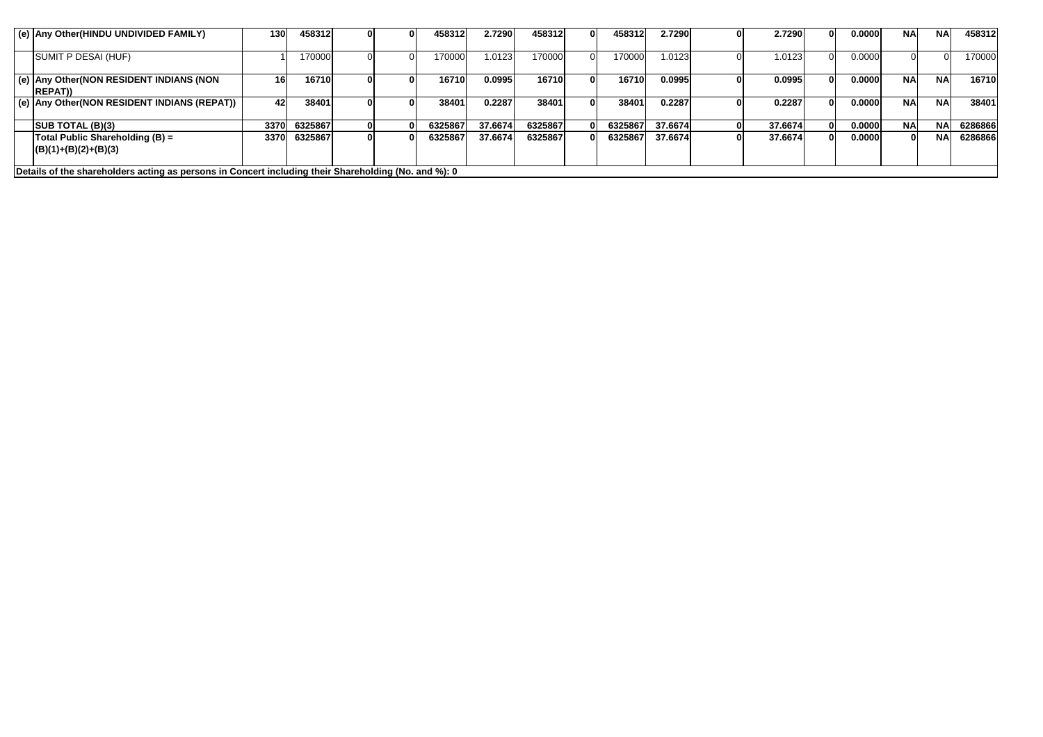| (e) Any Other(HINDU UNDIVIDED FAMILY)                                                                | 130 <sub>1</sub> | 458312  |  | 458312  | 2.7290  | 458312  | 458312  | 2.7290  | 2.7290  | U | 0.0000 | <b>NA</b> | <b>NA</b> | 458312  |
|------------------------------------------------------------------------------------------------------|------------------|---------|--|---------|---------|---------|---------|---------|---------|---|--------|-----------|-----------|---------|
| SUMIT P DESAI (HUF)                                                                                  |                  | 170000  |  | 170000  | 1.0123  | 170000  | 170000  | .0123   | 1.0123  |   | 0.0000 |           |           | 170000  |
| (e) Any Other (NON RESIDENT INDIANS (NON<br><b>IREPAT))</b>                                          | 16               | 16710   |  | 16710   | 0.0995  | 16710   | 16710   | 0.0995  | 0.0995  |   | 0.0000 | <b>NA</b> | <b>NA</b> | 16710   |
| (e) Any Other (NON RESIDENT INDIANS (REPAT))                                                         | 42               | 38401   |  | 38401   | 0.2287  | 38401   | 38401   | 0.2287  | 0.2287  |   | 0.0000 | <b>NA</b> | <b>NA</b> | 38401   |
| <b>SUB TOTAL (B)(3)</b>                                                                              | 3370             | 6325867 |  | 6325867 | 37.6674 | 6325867 | 6325867 | 37.6674 | 37.6674 |   | 0.0000 | <b>NA</b> | <b>NA</b> | 6286866 |
| Total Public Shareholding (B) =<br>$(B)(1)+(B)(2)+(B)(3)$                                            | 3370             | 6325867 |  | 6325867 | 37.6674 | 6325867 | 6325867 | 37.6674 | 37.6674 |   | 0.0000 |           | <b>NA</b> | 6286866 |
| Details of the shareholders acting as persons in Concert including their Shareholding (No. and %): 0 |                  |         |  |         |         |         |         |         |         |   |        |           |           |         |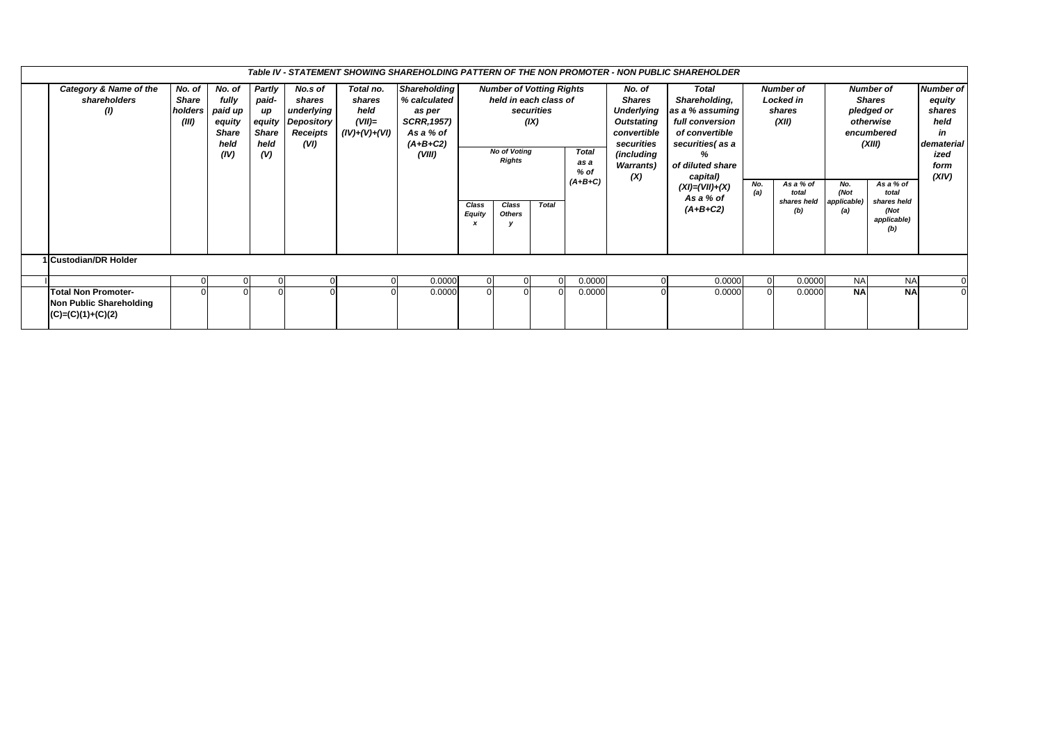|                                                                              |                                            |                                                                      |                                                      |                                                                          |                                                          |                                                                                                          |                        |                                                            |              |                                                                                                         |  | Table IV - STATEMENT SHOWING SHAREHOLDING PATTERN OF THE NON PROMOTER - NON PUBLIC SHAREHOLDER                                                                                                                                                                                                                     |                |                                                                             |                            |                                                                                                          |  |                                                                                           |
|------------------------------------------------------------------------------|--------------------------------------------|----------------------------------------------------------------------|------------------------------------------------------|--------------------------------------------------------------------------|----------------------------------------------------------|----------------------------------------------------------------------------------------------------------|------------------------|------------------------------------------------------------|--------------|---------------------------------------------------------------------------------------------------------|--|--------------------------------------------------------------------------------------------------------------------------------------------------------------------------------------------------------------------------------------------------------------------------------------------------------------------|----------------|-----------------------------------------------------------------------------|----------------------------|----------------------------------------------------------------------------------------------------------|--|-------------------------------------------------------------------------------------------|
| Category & Name of the<br>shareholders<br>(1)                                | No. of<br><b>Share</b><br>holders<br>(III) | No. of<br>fully<br>paid up<br>equity<br><b>Share</b><br>held<br>(IV) | Partly<br>paid-<br>иp<br><b>Share</b><br>held<br>(V) | No.s of<br>shares<br>underlying<br>equity Depository<br>Receipts<br>(VI) | Total no.<br>shares<br>held<br>$(VII)=$<br>(IV)+(V)+(VI) | <b>Shareholding</b><br>% calculated<br>as per<br><b>SCRR, 1957)</b><br>As a % of<br>$(A+B+C2)$<br>(VIII) |                        | securities<br>(IX)<br><b>No of Voting</b><br><b>Rights</b> |              | <b>Number of Votting Rights</b><br>held in each class of<br><b>Total</b><br>as a<br>$%$ of<br>$(A+B+C)$ |  | No. of<br><b>Total</b><br>Shareholding,<br><b>Shares</b><br>as a % assuming<br><b>Underlying</b><br><b>Outstating</b><br>full conversion<br>convertible<br>of convertible<br>securities<br>securities (as a<br>(including<br>%<br>of diluted share<br><b>Warrants</b> )<br>(X)<br>capital)<br>$(XI) = (VII) + (X)$ |                | <b>Number of</b><br><b>Locked in</b><br>shares<br>(XII)<br>As a % of<br>No. |                            | <b>Number of</b><br><b>Shares</b><br>pledged or<br>otherwise<br>encumbered<br>(XIII)<br>As a % of<br>No. |  | <b>Number of</b><br>equity<br>shares<br>held<br>in<br>dematerial<br>ized<br>form<br>(XIV) |
|                                                                              |                                            |                                                                      |                                                      |                                                                          |                                                          |                                                                                                          | Class<br><b>Equity</b> | Class<br><b>Others</b>                                     | <b>Total</b> |                                                                                                         |  | As a % of<br>$(A+B+C2)$                                                                                                                                                                                                                                                                                            | (a)            | total<br>shares held<br>(b)                                                 | (Not<br>applicable)<br>(a) | total<br>shares held<br>(Not<br>applicable)<br>(b)                                                       |  |                                                                                           |
| 1 Custodian/DR Holder                                                        |                                            |                                                                      |                                                      |                                                                          |                                                          |                                                                                                          |                        |                                                            |              |                                                                                                         |  |                                                                                                                                                                                                                                                                                                                    |                |                                                                             |                            |                                                                                                          |  |                                                                                           |
|                                                                              | $\Omega$                                   |                                                                      |                                                      |                                                                          |                                                          | 0.0000                                                                                                   |                        |                                                            |              | 0.0000                                                                                                  |  | 0.0000                                                                                                                                                                                                                                                                                                             | $\overline{0}$ | 0.0000                                                                      | <b>NA</b>                  | <b>NA</b>                                                                                                |  |                                                                                           |
| <b>Total Non Promoter-</b><br>Non Public Shareholding<br>$(C)=(C)(1)+(C)(2)$ |                                            |                                                                      |                                                      |                                                                          |                                                          | 0.0000                                                                                                   |                        |                                                            |              | 0.0000                                                                                                  |  | 0.0000                                                                                                                                                                                                                                                                                                             |                | 0.0000                                                                      | <b>NA</b>                  | <b>NA</b>                                                                                                |  |                                                                                           |